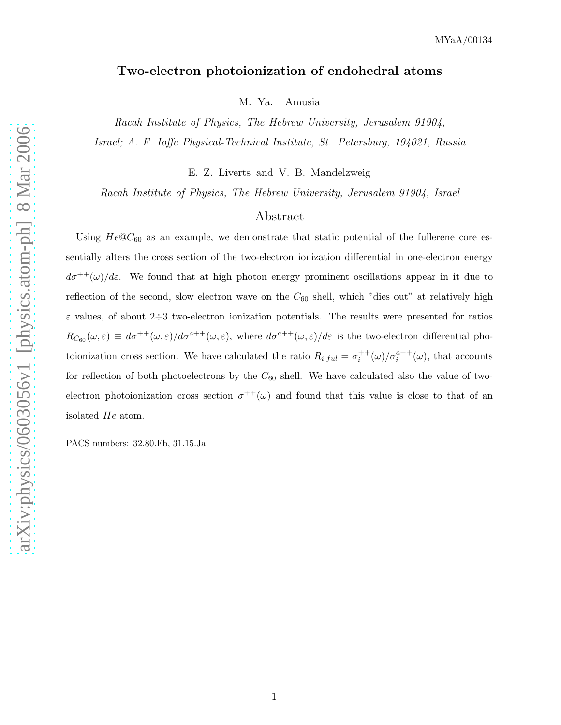## Two-electron photoionization of endohedral atoms

M. Ya. Amusia

Racah Institute of Physics, The Hebrew University, Jerusalem 91904, Israel; A. F. Ioffe Physical-Technical Institute, St. Petersburg, 194021, Russia

E. Z. Liverts and V. B. Mandelzweig

Racah Institute of Physics, The Hebrew University, Jerusalem 91904, Israel

# Abstract

Using  $He@C_{60}$  as an example, we demonstrate that static potential of the fullerene core essentially alters the cross section of the two-electron ionization differential in one-electron energy  $d\sigma^{++}(\omega)/d\varepsilon$ . We found that at high photon energy prominent oscillations appear in it due to reflection of the second, slow electron wave on the  $C_{60}$  shell, which "dies out" at relatively high  $\varepsilon$  values, of about 2÷3 two-electron ionization potentials. The results were presented for ratios  $R_{C_{60}}(\omega,\varepsilon) \equiv d\sigma^{++}(\omega,\varepsilon)/d\sigma^{a++}(\omega,\varepsilon)$ , where  $d\sigma^{a++}(\omega,\varepsilon)/d\varepsilon$  is the two-electron differential photoionization cross section. We have calculated the ratio  $R_{i,ful} = \sigma_i^{++}(\omega)/\sigma_i^{a++}(\omega)$ , that accounts for reflection of both photoelectrons by the  $C_{60}$  shell. We have calculated also the value of twoelectron photoionization cross section  $\sigma^{++}(\omega)$  and found that this value is close to that of an isolated He atom.

PACS numbers: 32.80.Fb, 31.15.Ja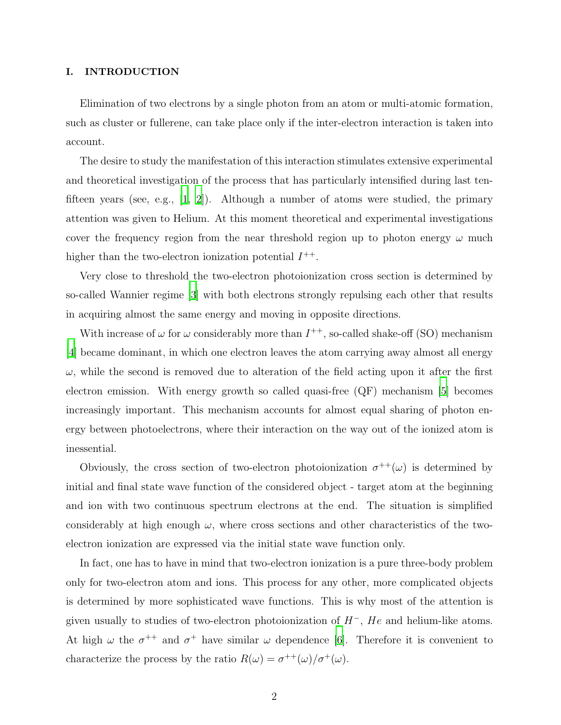### I. INTRODUCTION

Elimination of two electrons by a single photon from an atom or multi-atomic formation, such as cluster or fullerene, can take place only if the inter-electron interaction is taken into account.

The desire to study the manifestation of this interaction stimulates extensive experimental and theoretical investigation of the process that has particularly intensified during last tenfifteen years (see, e.g., [\[1](#page-11-0), [2](#page-11-1)]). Although a number of atoms were studied, the primary attention was given to Helium. At this moment theoretical and experimental investigations cover the frequency region from the near threshold region up to photon energy  $\omega$  much higher than the two-electron ionization potential  $I^{++}$ .

Very close to threshold the two-electron photoionization cross section is determined by so-called Wannier regime [\[3](#page-11-2)] with both electrons strongly repulsing each other that results in acquiring almost the same energy and moving in opposite directions.

With increase of  $\omega$  for  $\omega$  considerably more than  $I^{++}$ , so-called shake-off (SO) mechanism [\[4](#page-11-3)] became dominant, in which one electron leaves the atom carrying away almost all energy  $\omega$ , while the second is removed due to alteration of the field acting upon it after the first electron emission. With energy growth so called quasi-free (QF) mechanism [\[5](#page-11-4)] becomes increasingly important. This mechanism accounts for almost equal sharing of photon energy between photoelectrons, where their interaction on the way out of the ionized atom is inessential.

Obviously, the cross section of two-electron photoionization  $\sigma^{++}(\omega)$  is determined by initial and final state wave function of the considered object - target atom at the beginning and ion with two continuous spectrum electrons at the end. The situation is simplified considerably at high enough  $\omega$ , where cross sections and other characteristics of the twoelectron ionization are expressed via the initial state wave function only.

In fact, one has to have in mind that two-electron ionization is a pure three-body problem only for two-electron atom and ions. This process for any other, more complicated objects is determined by more sophisticated wave functions. This is why most of the attention is given usually to studies of two-electron photoionization of  $H^-$ , He and helium-like atoms. At high  $\omega$  the  $\sigma^{++}$  and  $\sigma^{+}$  have similar  $\omega$  dependence [\[6\]](#page-12-0). Therefore it is convenient to characterize the process by the ratio  $R(\omega) = \sigma^{++}(\omega)/\sigma^{+}(\omega)$ .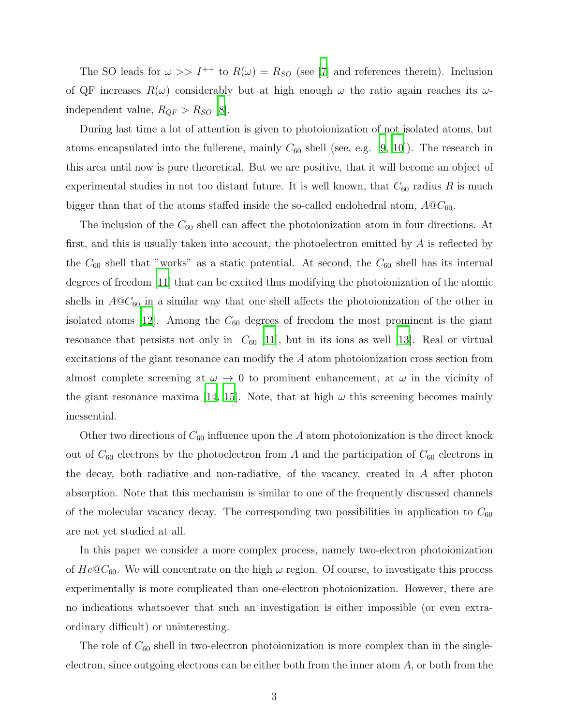The SO leads for  $\omega >> I^{++}$  to  $R(\omega) = R_{SO}$  (see [\[7\]](#page-12-1) and references therein). Inclusion of QF increases  $R(\omega)$  considerably but at high enough  $\omega$  the ratio again reaches its  $\omega$ independent value,  $R_{QF} > R_{SO}$  [\[8\]](#page-12-2).

During last time a lot of attention is given to photoionization of not isolated atoms, but atoms encapsulated into the fullerene, mainly  $C_{60}$  shell (see, e.g. [\[9](#page-12-3), [10\]](#page-12-4)). The research in this area until now is pure theoretical. But we are positive, that it will become an object of experimental studies in not too distant future. It is well known, that  $C_{60}$  radius R is much bigger than that of the atoms staffed inside the so-called endohedral atom,  $A@C_{60}$ .

The inclusion of the  $C_{60}$  shell can affect the photoionization atom in four directions. At first, and this is usually taken into account, the photoelectron emitted by A is reflected by the  $C_{60}$  shell that "works" as a static potential. At second, the  $C_{60}$  shell has its internal degrees of freedom [\[11\]](#page-12-5) that can be excited thus modifying the photoionization of the atomic shells in  $A@C_{60}$  in a similar way that one shell affects the photoionization of the other in isolated atoms [\[12\]](#page-12-6). Among the  $C_{60}$  degrees of freedom the most prominent is the giant resonance that persists not only in  $C_{60}$  [\[11\]](#page-12-5), but in its ions as well [\[13\]](#page-12-7). Real or virtual excitations of the giant resonance can modify the A atom photoionization cross section from almost complete screening at  $\omega \to 0$  to prominent enhancement, at  $\omega$  in the vicinity of the giant resonance maxima [\[14,](#page-12-8) [15](#page-12-9)]. Note, that at high  $\omega$  this screening becomes mainly inessential.

Other two directions of  $C_{60}$  influence upon the A atom photoionization is the direct knock out of  $C_{60}$  electrons by the photoelectron from A and the participation of  $C_{60}$  electrons in the decay, both radiative and non-radiative, of the vacancy, created in A after photon absorption. Note that this mechanism is similar to one of the frequently discussed channels of the molecular vacancy decay. The corresponding two possibilities in application to  $C_{60}$ are not yet studied at all.

In this paper we consider a more complex process, namely two-electron photoionization of  $He@C_{60}$ . We will concentrate on the high  $\omega$  region. Of course, to investigate this process experimentally is more complicated than one-electron photoionization. However, there are no indications whatsoever that such an investigation is either impossible (or even extraordinary difficult) or uninteresting.

The role of  $C_{60}$  shell in two-electron photoionization is more complex than in the singleelectron, since outgoing electrons can be either both from the inner atom  $A$ , or both from the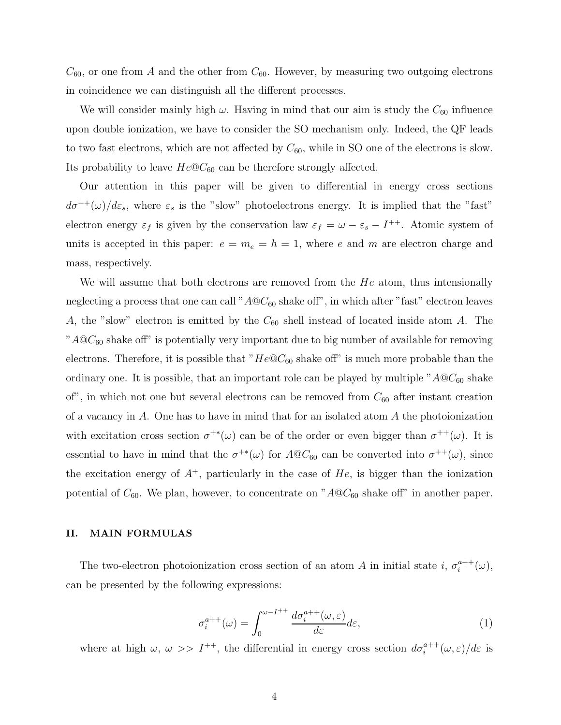$C_{60}$ , or one from A and the other from  $C_{60}$ . However, by measuring two outgoing electrons in coincidence we can distinguish all the different processes.

We will consider mainly high  $\omega$ . Having in mind that our aim is study the  $C_{60}$  influence upon double ionization, we have to consider the SO mechanism only. Indeed, the QF leads to two fast electrons, which are not affected by  $C_{60}$ , while in SO one of the electrons is slow. Its probability to leave  $He@C_{60}$  can be therefore strongly affected.

Our attention in this paper will be given to differential in energy cross sections  $d\sigma^{++}(\omega)/d\varepsilon_s$ , where  $\varepsilon_s$  is the "slow" photoelectrons energy. It is implied that the "fast" electron energy  $\varepsilon_f$  is given by the conservation law  $\varepsilon_f = \omega - \varepsilon_s - I^{++}$ . Atomic system of units is accepted in this paper:  $e = m_e = \hbar = 1$ , where e and m are electron charge and mass, respectively.

We will assume that both electrons are removed from the  $He$  atom, thus intensionally neglecting a process that one can call " $A@C_{60}$  shake off", in which after "fast" electron leaves A, the "slow" electron is emitted by the  $C_{60}$  shell instead of located inside atom A. The " $A@C_{60}$  shake off" is potentially very important due to big number of available for removing electrons. Therefore, it is possible that " $He@C_{60}$  shake off" is much more probable than the ordinary one. It is possible, that an important role can be played by multiple " $A@C_{60}$  shake of", in which not one but several electrons can be removed from  $C_{60}$  after instant creation of a vacancy in A. One has to have in mind that for an isolated atom A the photoionization with excitation cross section  $\sigma^{+*}(\omega)$  can be of the order or even bigger than  $\sigma^{++}(\omega)$ . It is essential to have in mind that the  $\sigma^{+*}(\omega)$  for  $A@C_{60}$  can be converted into  $\sigma^{++}(\omega)$ , since the excitation energy of  $A^+$ , particularly in the case of  $He$ , is bigger than the ionization potential of  $C_{60}$ . We plan, however, to concentrate on " $A@C_{60}$  shake off" in another paper.

## II. MAIN FORMULAS

<span id="page-3-0"></span>The two-electron photoionization cross section of an atom A in initial state i,  $\sigma_i^{a++}$  $i^{a++}(\omega),$ can be presented by the following expressions:

$$
\sigma_i^{a++}(\omega) = \int_0^{\omega - I^{++}} \frac{d\sigma_i^{a++}(\omega, \varepsilon)}{d\varepsilon} d\varepsilon,\tag{1}
$$

where at high  $\omega, \omega \gg I^{++}$ , the differential in energy cross section  $d\sigma_i^{a++}(\omega,\varepsilon)/d\varepsilon$  is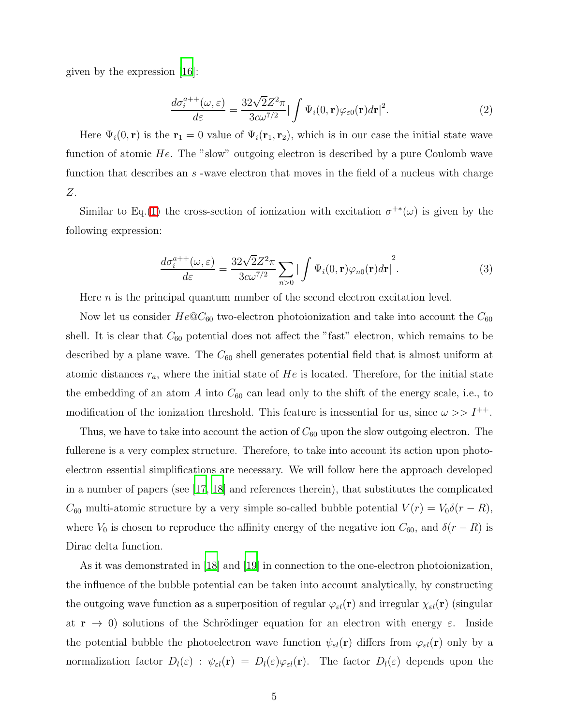<span id="page-4-0"></span>given by the expression [\[16](#page-12-10)]:

$$
\frac{d\sigma_i^{a++}(\omega,\varepsilon)}{d\varepsilon} = \frac{32\sqrt{2}Z^2\pi}{3c\omega^{7/2}} |\int \Psi_i(0,\mathbf{r})\varphi_{\varepsilon 0}(\mathbf{r})d\mathbf{r}|^2.
$$
 (2)

Here  $\Psi_i(0, r)$  is the  $r_1 = 0$  value of  $\Psi_i(r_1, r_2)$ , which is in our case the initial state wave function of atomic He. The "slow" outgoing electron is described by a pure Coulomb wave function that describes an s-wave electron that moves in the field of a nucleus with charge Z.

<span id="page-4-1"></span>Similar to Eq.[\(1\)](#page-3-0) the cross-section of ionization with excitation  $\sigma^{+*}(\omega)$  is given by the following expression:

$$
\frac{d\sigma_i^{a++}(\omega,\varepsilon)}{d\varepsilon} = \frac{32\sqrt{2}Z^2\pi}{3c\omega^{7/2}} \sum_{n>0} \left| \int \Psi_i(0,\mathbf{r})\varphi_{n0}(\mathbf{r})d\mathbf{r} \right|^2.
$$
 (3)

Here  $n$  is the principal quantum number of the second electron excitation level.

Now let us consider  $He@C_{60}$  two-electron photoionization and take into account the  $C_{60}$ shell. It is clear that  $C_{60}$  potential does not affect the "fast" electron, which remains to be described by a plane wave. The  $C_{60}$  shell generates potential field that is almost uniform at atomic distances  $r_a$ , where the initial state of He is located. Therefore, for the initial state the embedding of an atom  $A$  into  $C_{60}$  can lead only to the shift of the energy scale, i.e., to modification of the ionization threshold. This feature is inessential for us, since  $\omega >> I^{++}$ .

Thus, we have to take into account the action of  $C_{60}$  upon the slow outgoing electron. The fullerene is a very complex structure. Therefore, to take into account its action upon photoelectron essential simplifications are necessary. We will follow here the approach developed in a number of papers (see [\[17,](#page-12-11) [18\]](#page-12-12) and references therein), that substitutes the complicated  $C_{60}$  multi-atomic structure by a very simple so-called bubble potential  $V(r) = V_0 \delta(r - R)$ , where  $V_0$  is chosen to reproduce the affinity energy of the negative ion  $C_{60}$ , and  $\delta(r - R)$  is Dirac delta function.

As it was demonstrated in [\[18\]](#page-12-12) and [\[19\]](#page-12-13) in connection to the one-electron photoionization, the influence of the bubble potential can be taken into account analytically, by constructing the outgoing wave function as a superposition of regular  $\varphi_{\varepsilon l}(\mathbf{r})$  and irregular  $\chi_{\varepsilon l}(\mathbf{r})$  (singular at  $r \to 0$ ) solutions of the Schrödinger equation for an electron with energy  $\varepsilon$ . Inside the potential bubble the photoelectron wave function  $\psi_{\varepsilon l}(\mathbf{r})$  differs from  $\varphi_{\varepsilon l}(\mathbf{r})$  only by a normalization factor  $D_l(\varepsilon)$ :  $\psi_{\varepsilon l}(\mathbf{r}) = D_l(\varepsilon)\varphi_{\varepsilon l}(\mathbf{r})$ . The factor  $D_l(\varepsilon)$  depends upon the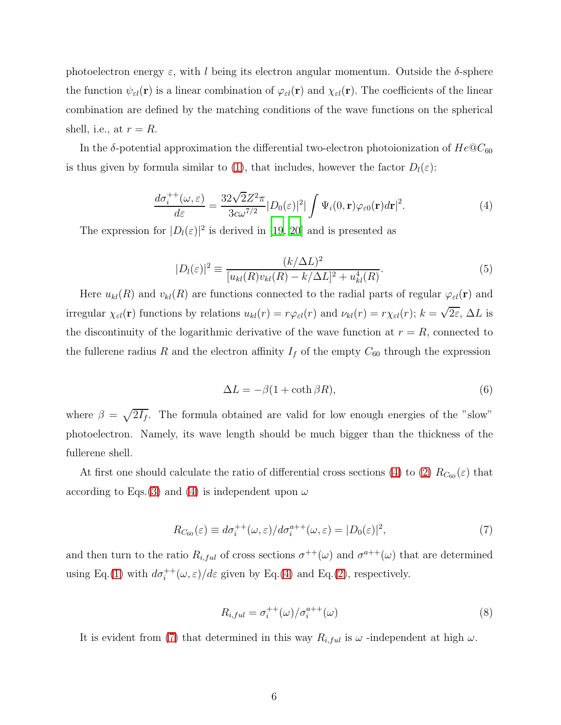photoelectron energy  $\varepsilon$ , with l being its electron angular momentum. Outside the  $\delta$ -sphere the function  $\psi_{\varepsilon l}(\mathbf{r})$  is a linear combination of  $\varphi_{\varepsilon l}(\mathbf{r})$  and  $\chi_{\varepsilon l}(\mathbf{r})$ . The coefficients of the linear combination are defined by the matching conditions of the wave functions on the spherical shell, i.e., at  $r = R$ .

<span id="page-5-0"></span>In the  $\delta$ -potential approximation the differential two-electron photoionization of  $He@C_{60}$ is thus given by formula similar to [\(1\)](#page-3-0), that includes, however the factor  $D_l(\varepsilon)$ :

$$
\frac{d\sigma_i^{++}(\omega,\varepsilon)}{d\varepsilon} = \frac{32\sqrt{2}Z^2\pi}{3c\omega^{7/2}}|D_0(\varepsilon)|^2|\int \Psi_i(0,\mathbf{r})\varphi_{\varepsilon 0}(\mathbf{r})d\mathbf{r}|^2.
$$
\n(4)

<span id="page-5-3"></span>The expression for  $|D_l(\varepsilon)|^2$  is derived in [\[19](#page-12-13), [20](#page-12-14)] and is presented as

$$
|D_l(\varepsilon)|^2 \equiv \frac{(k/\Delta L)^2}{[u_{kl}(R)v_{kl}(R) - k/\Delta L]^2 + u_{kl}^4(R)}.\tag{5}
$$

<span id="page-5-2"></span>Here  $u_{kl}(R)$  and  $v_{kl}(R)$  are functions connected to the radial parts of regular  $\varphi_{\varepsilon l}(\mathbf{r})$  and irregular  $\chi_{\varepsilon l}(\mathbf{r})$  functions by relations  $u_{kl}(r) = r \varphi_{\varepsilon l}(r)$  and  $\nu_{kl}(r) = r \chi_{\varepsilon l}(r)$ ;  $k = \sqrt{2\varepsilon}$ ,  $\Delta L$  is the discontinuity of the logarithmic derivative of the wave function at  $r = R$ , connected to the fullerene radius R and the electron affinity  $I_f$  of the empty  $C_{60}$  through the expression

$$
\Delta L = -\beta (1 + \coth \beta R),\tag{6}
$$

where  $\beta = \sqrt{2I_f}$ . The formula obtained are valid for low enough energies of the "slow" photoelectron. Namely, its wave length should be much bigger than the thickness of the fullerene shell.

<span id="page-5-1"></span>At first one should calculate the ratio of differential cross sections [\(4\)](#page-5-0) to [\(2\)](#page-4-0)  $R_{C_{60}}(\varepsilon)$  that according to Eqs. [\(3\)](#page-4-1) and [\(4\)](#page-5-0) is independent upon  $\omega$ 

$$
R_{C_{60}}(\varepsilon) \equiv d\sigma_i^{++}(\omega,\varepsilon)/d\sigma_i^{a++}(\omega,\varepsilon) = |D_0(\varepsilon)|^2,\tag{7}
$$

<span id="page-5-4"></span>and then turn to the ratio  $R_{i,ful}$  of cross sections  $\sigma^{++}(\omega)$  and  $\sigma^{a++}(\omega)$  that are determined using Eq.[\(1\)](#page-3-0) with  $d\sigma_i^{++}(\omega,\varepsilon)/d\varepsilon$  given by Eq.[\(4\)](#page-5-0) and Eq.[\(2\)](#page-4-0), respectively.

$$
R_{i,ful} = \sigma_i^{++}(\omega) / \sigma_i^{a++}(\omega)
$$
\n(8)

It is evident from [\(7\)](#page-5-1) that determined in this way  $R_{i,ful}$  is  $\omega$  -independent at high  $\omega$ .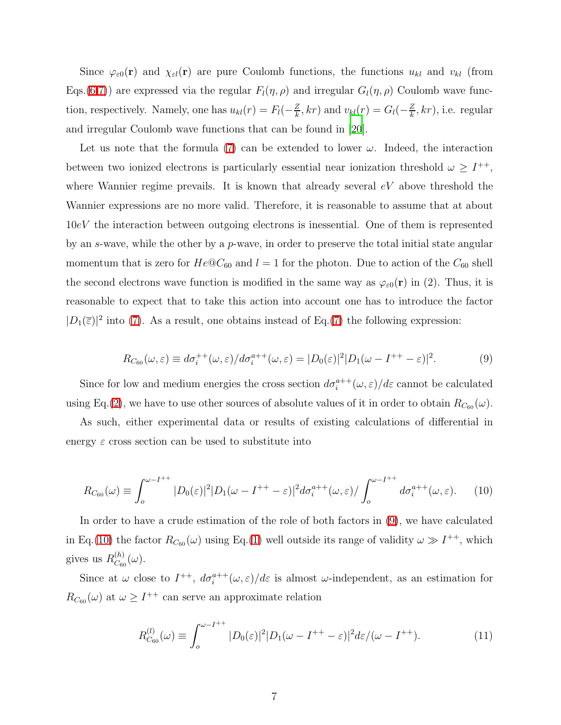Since  $\varphi_{\varepsilon0}(\mathbf{r})$  and  $\chi_{\varepsilon l}(\mathbf{r})$  are pure Coulomb functions, the functions  $u_{kl}$  and  $v_{kl}$  (from Eqs.[\(6](#page-5-2)[,7\)](#page-5-1)) are expressed via the regular  $F_l(\eta, \rho)$  and irregular  $G_l(\eta, \rho)$  Coulomb wave function, respectively. Namely, one has  $u_{kl}(r) = F_l(-\frac{Z}{k})$  $\frac{Z}{k}$ , kr) and  $v_{kl}(r) = G_l(-\frac{Z}{k})$  $\frac{z}{k}$ , kr), i.e. regular and irregular Coulomb wave functions that can be found in [\[20](#page-12-14)].

Let us note that the formula [\(7\)](#page-5-1) can be extended to lower  $\omega$ . Indeed, the interaction between two ionized electrons is particularly essential near ionization threshold  $\omega \geq I^{++}$ , where Wannier regime prevails. It is known that already several  $eV$  above threshold the Wannier expressions are no more valid. Therefore, it is reasonable to assume that at about 10eV the interaction between outgoing electrons is inessential. One of them is represented by an s-wave, while the other by a  $p$ -wave, in order to preserve the total initial state angular momentum that is zero for  $He@C_{60}$  and  $l = 1$  for the photon. Due to action of the  $C_{60}$  shell the second electrons wave function is modified in the same way as  $\varphi_{\varepsilon 0}(\mathbf{r})$  in (2). Thus, it is reasonable to expect that to take this action into account one has to introduce the factor  $|D_1(\overline{\varepsilon})|^2$  into [\(7\)](#page-5-1). As a result, one obtains instead of Eq.[\(7\)](#page-5-1) the following expression:

$$
R_{C_{60}}(\omega,\varepsilon) \equiv d\sigma_i^{++}(\omega,\varepsilon)/d\sigma_i^{a++}(\omega,\varepsilon) = |D_0(\varepsilon)|^2|D_1(\omega - I^{++} - \varepsilon)|^2. \tag{9}
$$

<span id="page-6-0"></span>Since for low and medium energies the cross section  $d\sigma_i^{a++}(\omega,\varepsilon)/d\varepsilon$  cannot be calculated using Eq.[\(2\)](#page-4-0), we have to use other sources of absolute values of it in order to obtain  $R_{C_{60}}(\omega)$ .

<span id="page-6-1"></span>As such, either experimental data or results of existing calculations of differential in energy  $\varepsilon$  cross section can be used to substitute into

$$
R_{C_{60}}(\omega) \equiv \int_0^{\omega - I^{++}} |D_0(\varepsilon)|^2 |D_1(\omega - I^{++} - \varepsilon)|^2 d\sigma_i^{a++}(\omega, \varepsilon) / \int_0^{\omega - I^{++}} d\sigma_i^{a++}(\omega, \varepsilon).
$$
 (10)

In order to have a crude estimation of the role of both factors in [\(9\)](#page-6-0), we have calculated in Eq.[\(10\)](#page-6-1) the factor  $R_{C_{60}}(\omega)$  using Eq.[\(1\)](#page-3-0) well outside its range of validity  $\omega \gg I^{++}$ , which gives us  $R_{C_{66}}^{(h)}$  $\mathcal{C}_{60}^{(n)}(\omega).$ 

<span id="page-6-2"></span>Since at  $\omega$  close to  $I^{++}$ ,  $d\sigma_i^{a++}(\omega,\varepsilon)/d\varepsilon$  is almost  $\omega$ -independent, as an estimation for  $R_{C_{60}}(\omega)$  at  $\omega \geq I^{++}$  can serve an approximate relation

$$
R_{C_{60}}^{(l)}(\omega) \equiv \int_o^{\omega - I^{++}} |D_0(\varepsilon)|^2 |D_1(\omega - I^{++} - \varepsilon)|^2 d\varepsilon / (\omega - I^{++}). \tag{11}
$$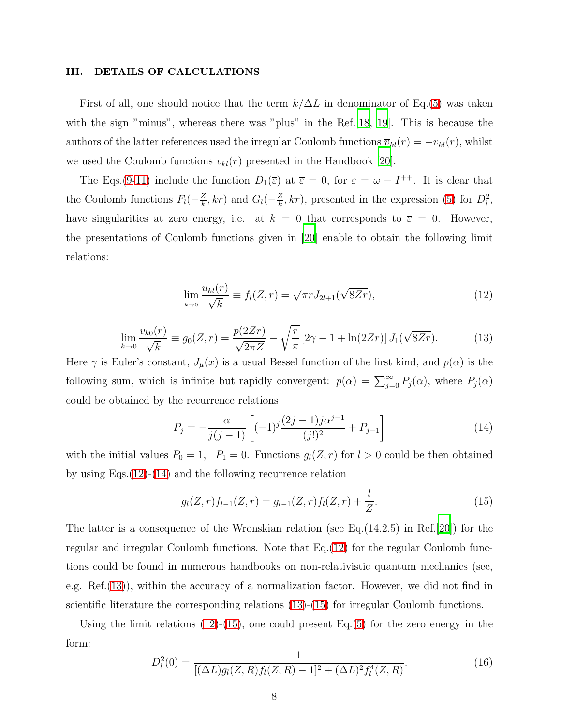#### III. DETAILS OF CALCULATIONS

First of all, one should notice that the term  $k/\Delta L$  in denominator of Eq.[\(5\)](#page-5-3) was taken with the sign "minus", whereas there was "plus" in the Ref. [\[18](#page-12-12), [19](#page-12-13)]. This is because the authors of the latter references used the irregular Coulomb functions  $\overline{v}_{kl}(r) = -v_{kl}(r)$ , whilst we used the Coulomb functions  $v_{kl}(r)$  presented in the Handbook [\[20](#page-12-14)].

<span id="page-7-0"></span>The Eqs.[\(9](#page-6-0)[-11\)](#page-6-2) include the function  $D_1(\overline{\varepsilon})$  at  $\overline{\varepsilon} = 0$ , for  $\varepsilon = \omega - I^{++}$ . It is clear that the Coulomb functions  $F_l(-\frac{Z}{k})$  $\frac{Z}{k}$ , kr) and  $G_l(-\frac{Z}{k})$  $\frac{Z}{k}$ , kr), presented in the expression [\(5\)](#page-5-3) for  $D_l^2$ , have singularities at zero energy, i.e. at  $k = 0$  that corresponds to  $\overline{\varepsilon} = 0$ . However, the presentations of Coulomb functions given in [\[20\]](#page-12-14) enable to obtain the following limit relations:

$$
\lim_{k \to 0} \frac{u_{kl}(r)}{\sqrt{k}} \equiv f_l(Z, r) = \sqrt{\pi r} J_{2l+1}(\sqrt{8Zr}), \tag{12}
$$

$$
\lim_{k \to 0} \frac{v_{k0}(r)}{\sqrt{k}} \equiv g_0(Z, r) = \frac{p(2Zr)}{\sqrt{2\pi Z}} - \sqrt{\frac{r}{\pi}} \left[2\gamma - 1 + \ln(2Zr)\right] J_1(\sqrt{8Zr}).\tag{13}
$$

<span id="page-7-2"></span>Here  $\gamma$  is Euler's constant,  $J_{\mu}(x)$  is a usual Bessel function of the first kind, and  $p(\alpha)$  is the following sum, which is infinite but rapidly convergent:  $p(\alpha) = \sum_{j=0}^{\infty} P_j(\alpha)$ , where  $P_j(\alpha)$ could be obtained by the recurrence relations

<span id="page-7-3"></span><span id="page-7-1"></span>
$$
P_j = -\frac{\alpha}{j(j-1)} \left[ (-1)^j \frac{(2j-1)j\alpha^{j-1}}{(j!)^2} + P_{j-1} \right]
$$
(14)

with the initial values  $P_0 = 1$ ,  $P_1 = 0$ . Functions  $g_l(Z, r)$  for  $l > 0$  could be then obtained by using Eqs.[\(12\)](#page-7-0)-[\(14\)](#page-7-1) and the following recurrence relation

$$
g_l(Z,r)f_{l-1}(Z,r) = g_{l-1}(Z,r)f_l(Z,r) + \frac{l}{Z}.
$$
\n(15)

The latter is a consequence of the Wronskian relation (see Eq.(14.2.5) in Ref.[\[20](#page-12-14)]) for the regular and irregular Coulomb functions. Note that Eq.[\(12\)](#page-7-0) for the regular Coulomb functions could be found in numerous handbooks on non-relativistic quantum mechanics (see, e.g. Ref.[\(13\)](#page-7-2)), within the accuracy of a normalization factor. However, we did not find in scientific literature the corresponding relations [\(13\)](#page-7-2)-[\(15\)](#page-7-3) for irregular Coulomb functions.

<span id="page-7-4"></span>Using the limit relations  $(12)-(15)$  $(12)-(15)$ , one could present Eq. $(5)$  for the zero energy in the form:

$$
D_l^2(0) = \frac{1}{[(\Delta L)g_l(Z, R)f_l(Z, R) - 1]^2 + (\Delta L)^2 f_l^4(Z, R)}.
$$
\n(16)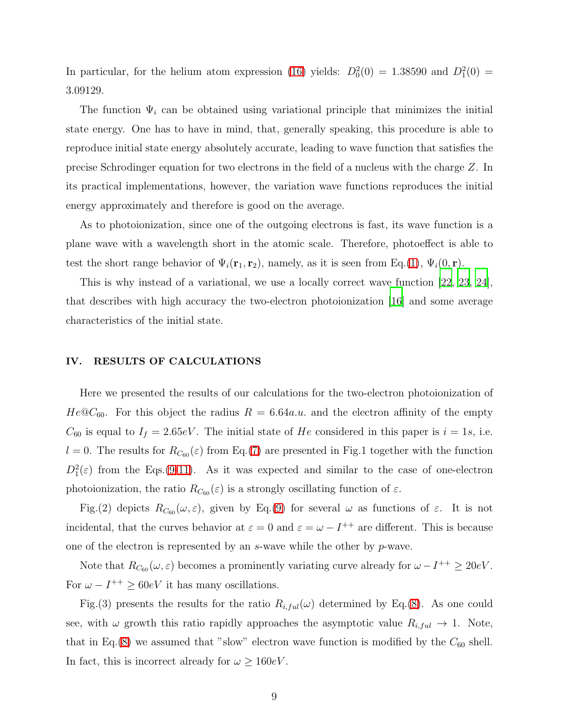In particular, for the helium atom expression [\(16\)](#page-7-4) yields:  $D_0^2(0) = 1.38590$  and  $D_1^2(0) =$ 3.09129.

The function  $\Psi_i$  can be obtained using variational principle that minimizes the initial state energy. One has to have in mind, that, generally speaking, this procedure is able to reproduce initial state energy absolutely accurate, leading to wave function that satisfies the precise Schrodinger equation for two electrons in the field of a nucleus with the charge Z. In its practical implementations, however, the variation wave functions reproduces the initial energy approximately and therefore is good on the average.

As to photoionization, since one of the outgoing electrons is fast, its wave function is a plane wave with a wavelength short in the atomic scale. Therefore, photoeffect is able to test the short range behavior of  $\Psi_i(\mathbf{r}_1, \mathbf{r}_2)$ , namely, as it is seen from Eq.[\(1\)](#page-3-0),  $\Psi_i(0, \mathbf{r})$ .

This is why instead of a variational, we use a locally correct wave function [\[22](#page-12-15), [23,](#page-12-16) [24\]](#page-12-17), that describes with high accuracy the two-electron photoionization [\[16\]](#page-12-10) and some average characteristics of the initial state.

## IV. RESULTS OF CALCULATIONS

Here we presented the results of our calculations for the two-electron photoionization of  $He@C_{60}$ . For this object the radius  $R = 6.64a.u$  and the electron affinity of the empty  $C_{60}$  is equal to  $I_f = 2.65eV$ . The initial state of He considered in this paper is  $i = 1s$ , i.e.  $l = 0$ . The results for  $R_{C_{60}}(\varepsilon)$  from Eq.[\(7\)](#page-5-1) are presented in Fig.1 together with the function  $D_1^2(\varepsilon)$  from the Eqs.[\(9-](#page-6-0)[11\)](#page-6-2). As it was expected and similar to the case of one-electron photoionization, the ratio  $R_{C_{60}}(\varepsilon)$  is a strongly oscillating function of  $\varepsilon$ .

Fig.(2) depicts  $R_{C_{60}}(\omega,\varepsilon)$ , given by Eq.[\(9\)](#page-6-0) for several  $\omega$  as functions of  $\varepsilon$ . It is not incidental, that the curves behavior at  $\varepsilon = 0$  and  $\varepsilon = \omega - I^{++}$  are different. This is because one of the electron is represented by an s-wave while the other by p-wave.

Note that  $R_{C_{60}}(\omega,\varepsilon)$  becomes a prominently variating curve already for  $\omega - I^{++} \geq 20eV$ . For  $\omega - I^{++} \ge 60eV$  it has many oscillations.

Fig.(3) presents the results for the ratio  $R_{i,ful}(\omega)$  determined by Eq.[\(8\)](#page-5-4). As one could see, with  $\omega$  growth this ratio rapidly approaches the asymptotic value  $R_{i,ful} \to 1$ . Note, that in Eq.[\(8\)](#page-5-4) we assumed that "slow" electron wave function is modified by the  $C_{60}$  shell. In fact, this is incorrect already for  $\omega \geq 160 \text{eV}$ .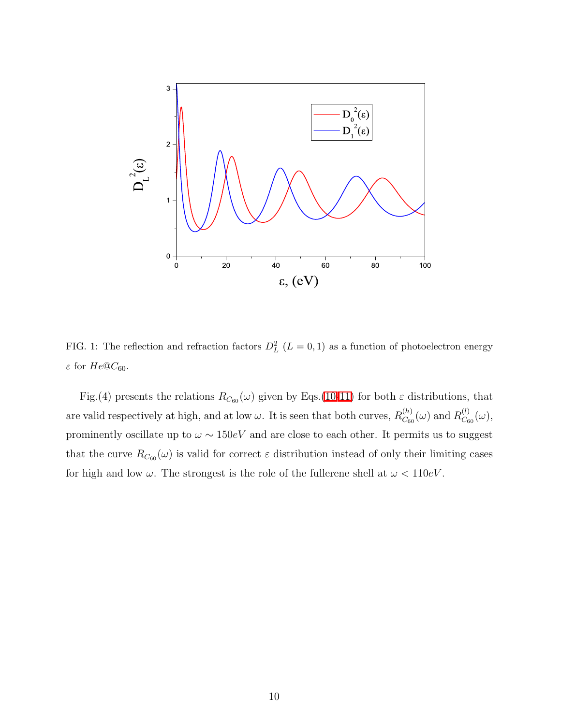

FIG. 1: The reflection and refraction factors  $D<sub>L</sub><sup>2</sup>$  ( $L = 0, 1$ ) as a function of photoelectron energy  $\varepsilon$  for  $He@C_{60}$ .

Fig.(4) presents the relations  $R_{C_{60}}(\omega)$  given by Eqs.[\(10-](#page-6-1)[11\)](#page-6-2) for both  $\varepsilon$  distributions, that are valid respectively at high, and at low  $\omega$ . It is seen that both curves,  $R_{C_{\text{ref}}}^{(h)}$  $\overset{(h)}{C_{60}}(\omega)$  and  $R^{(l)}_{C_6}$  $\mathcal{C}_{60}^{(t)}(\omega),$ prominently oscillate up to  $\omega \sim 150 eV$  and are close to each other. It permits us to suggest that the curve  $R_{C_{60}}(\omega)$  is valid for correct  $\varepsilon$  distribution instead of only their limiting cases for high and low  $\omega$ . The strongest is the role of the fullerene shell at  $\omega < 110 eV$ .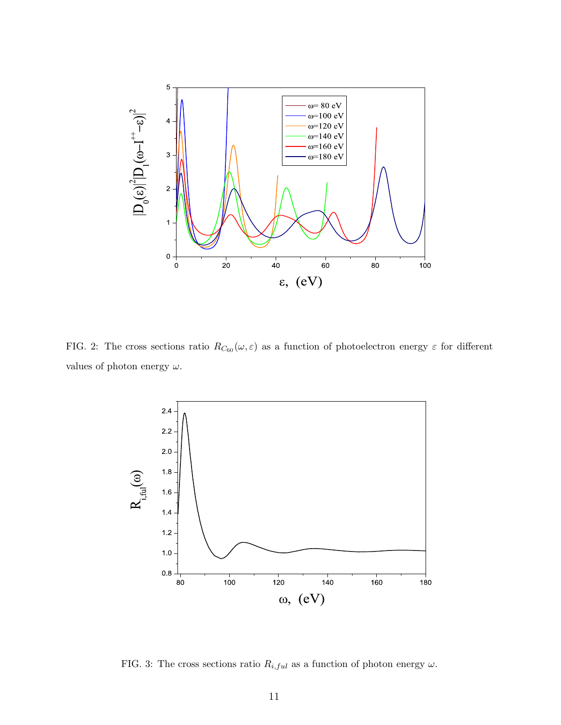

FIG. 2: The cross sections ratio  $R_{C_{60}}(\omega, \varepsilon)$  as a function of photoelectron energy  $\varepsilon$  for different values of photon energy  $\omega$ .



FIG. 3: The cross sections ratio  $R_{i,ful}$  as a function of photon energy  $\omega$ .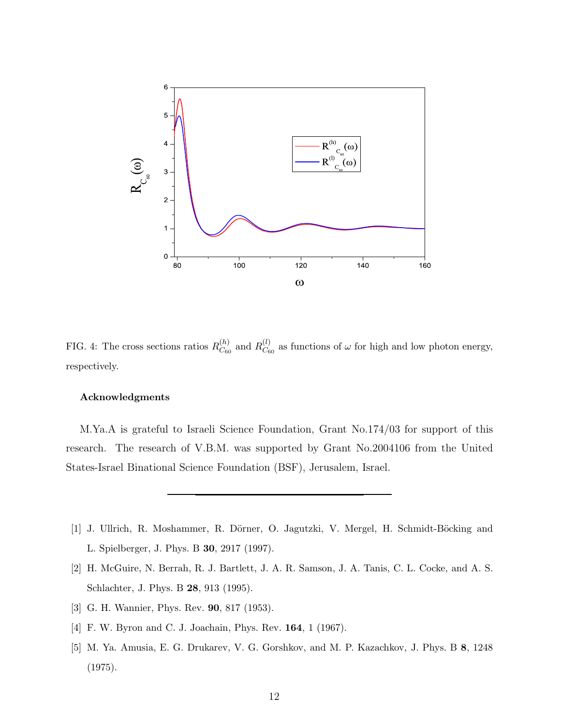

FIG. 4: The cross sections ratios  $R_{\text{C}_{\text{eff}}}^{(h)}$  $\stackrel{(h)}{C_{60}}$  and  $\stackrel{(l)}{R_{C_6}^{(l)}}$  $C_{60}^{(t)}$  as functions of  $\omega$  for high and low photon energy, respectively.

### Acknowledgments

M.Ya.A is grateful to Israeli Science Foundation, Grant No.174/03 for support of this research. The research of V.B.M. was supported by Grant No.2004106 from the United States-Israel Binational Science Foundation (BSF), Jerusalem, Israel.

- <span id="page-11-0"></span>[1] J. Ullrich, R. Moshammer, R. Dörner, O. Jagutzki, V. Mergel, H. Schmidt-Böcking and L. Spielberger, J. Phys. B 30, 2917 (1997).
- <span id="page-11-1"></span>[2] H. McGuire, N. Berrah, R. J. Bartlett, J. A. R. Samson, J. A. Tanis, C. L. Cocke, and A. S. Schlachter, J. Phys. B 28, 913 (1995).
- <span id="page-11-2"></span>[3] G. H. Wannier, Phys. Rev. 90, 817 (1953).
- <span id="page-11-3"></span>[4] F. W. Byron and C. J. Joachain, Phys. Rev. 164, 1 (1967).
- <span id="page-11-4"></span>[5] M. Ya. Amusia, E. G. Drukarev, V. G. Gorshkov, and M. P. Kazachkov, J. Phys. B 8, 1248 (1975).